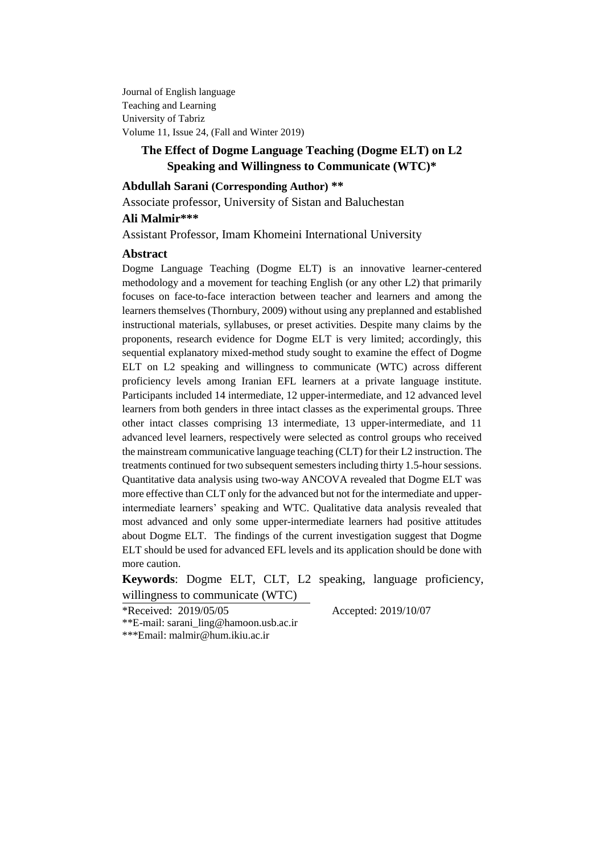Journal of English language Teaching and Learning University of Tabriz Volume 11, Issue 24, (Fall and Winter 2019)

# **The Effect of Dogme Language Teaching (Dogme ELT) on L2 Speaking and Willingness to Communicate (WTC)\***

# **Abdullah Sarani (Corresponding Author) \*\***

Associate professor, University of Sistan and Baluchestan

# **Ali Malmir\*\*\***

Assistant Professor, Imam Khomeini International University

#### **Abstract**

Dogme Language Teaching (Dogme ELT) is an innovative learner-centered methodology and a movement for teaching English (or any other L2) that primarily focuses on face-to-face interaction between teacher and learners and among the learners themselves (Thornbury, 2009) without using any preplanned and established instructional materials, syllabuses, or preset activities. Despite many claims by the proponents, research evidence for Dogme ELT is very limited; accordingly, this sequential explanatory mixed-method study sought to examine the effect of Dogme ELT on L2 speaking and willingness to communicate (WTC) across different proficiency levels among Iranian EFL learners at a private language institute. Participants included 14 intermediate, 12 upper-intermediate, and 12 advanced level learners from both genders in three intact classes as the experimental groups. Three other intact classes comprising 13 intermediate, 13 upper-intermediate, and 11 advanced level learners, respectively were selected as control groups who received the mainstream communicative language teaching (CLT) for their L2 instruction. The treatments continued for two subsequent semesters including thirty 1.5-hour sessions. Quantitative data analysis using two-way ANCOVA revealed that Dogme ELT was more effective than CLT only for the advanced but not for the intermediate and upperintermediate learners' speaking and WTC. Qualitative data analysis revealed that most advanced and only some upper-intermediate learners had positive attitudes about Dogme ELT. The findings of the current investigation suggest that Dogme ELT should be used for advanced EFL levels and its application should be done with more caution.

# **Keywords**: Dogme ELT, CLT, L2 speaking, language proficiency,

willingness to communicate (WTC)

\*Received: 2019/05/05 Accepted: 2019/10/07

\*\*E-mail: [sarani\\_ling@hamoon.usb.ac.ir](mailto:sarani_ling@hamoon.usb.ac.ir) \*\*\*Email: [malmir@hum.ikiu.ac.ir](mailto:malmir@hum.ikiu.ac.ir)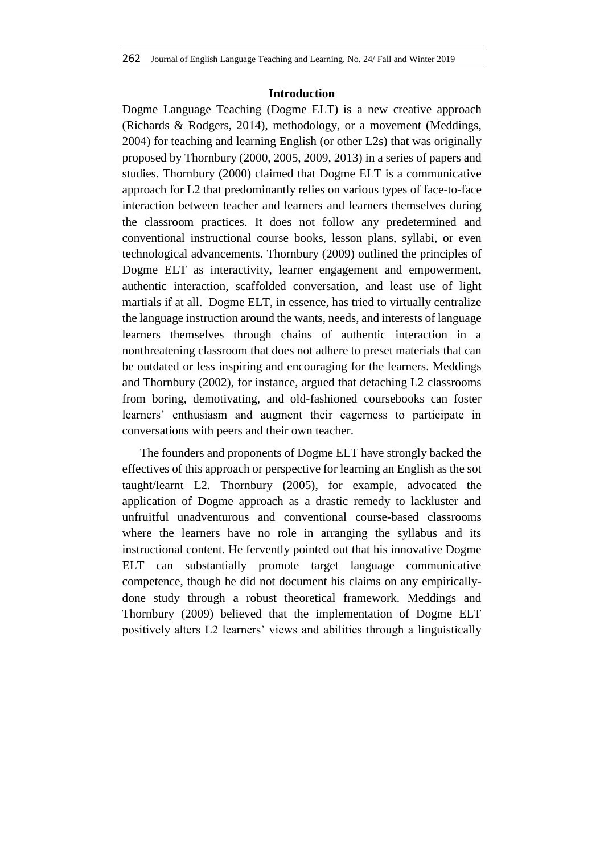### **Introduction**

Dogme Language Teaching (Dogme ELT) is a new creative approach (Richards & Rodgers, 2014), methodology, or a movement (Meddings, 2004) for teaching and learning English (or other L2s) that was originally proposed by Thornbury (2000, 2005, 2009, 2013) in a series of papers and studies. Thornbury (2000) claimed that Dogme ELT is a communicative approach for L2 that predominantly relies on various types of face-to-face interaction between teacher and learners and learners themselves during the classroom practices. It does not follow any predetermined and conventional instructional course books, lesson plans, syllabi, or even technological advancements. Thornbury (2009) outlined the principles of Dogme ELT as interactivity, learner engagement and empowerment, authentic interaction, scaffolded conversation, and least use of light martials if at all. Dogme ELT, in essence, has tried to virtually centralize the language instruction around the wants, needs, and interests of language learners themselves through chains of authentic interaction in a nonthreatening classroom that does not adhere to preset materials that can be outdated or less inspiring and encouraging for the learners. Meddings and Thornbury (2002), for instance, argued that detaching L2 classrooms from boring, demotivating, and old-fashioned coursebooks can foster learners' enthusiasm and augment their eagerness to participate in conversations with peers and their own teacher.

The founders and proponents of Dogme ELT have strongly backed the effectives of this approach or perspective for learning an English as the sot taught/learnt L2. Thornbury (2005), for example, advocated the application of Dogme approach as a drastic remedy to lackluster and unfruitful unadventurous and conventional course-based classrooms where the learners have no role in arranging the syllabus and its instructional content. He fervently pointed out that his innovative Dogme ELT can substantially promote target language communicative competence, though he did not document his claims on any empiricallydone study through a robust theoretical framework. Meddings and Thornbury (2009) believed that the implementation of Dogme ELT positively alters L2 learners' views and abilities through a linguistically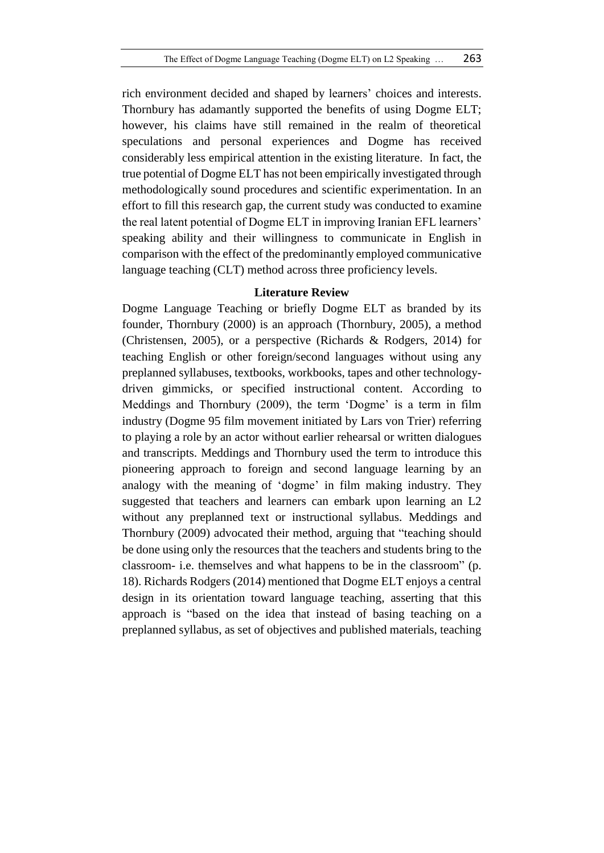rich environment decided and shaped by learners' choices and interests. Thornbury has adamantly supported the benefits of using Dogme ELT; however, his claims have still remained in the realm of theoretical speculations and personal experiences and Dogme has received considerably less empirical attention in the existing literature. In fact, the true potential of Dogme ELT has not been empirically investigated through methodologically sound procedures and scientific experimentation. In an effort to fill this research gap, the current study was conducted to examine the real latent potential of Dogme ELT in improving Iranian EFL learners' speaking ability and their willingness to communicate in English in comparison with the effect of the predominantly employed communicative language teaching (CLT) method across three proficiency levels.

#### **Literature Review**

Dogme Language Teaching or briefly Dogme ELT as branded by its founder, Thornbury (2000) is an approach (Thornbury, 2005), a method (Christensen, 2005), or a perspective (Richards & Rodgers, 2014) for teaching English or other foreign/second languages without using any preplanned syllabuses, textbooks, workbooks, tapes and other technologydriven gimmicks, or specified instructional content. According to Meddings and Thornbury (2009), the term 'Dogme' is a term in film industry (Dogme 95 film movement initiated by Lars von Trier) referring to playing a role by an actor without earlier rehearsal or written dialogues and transcripts. Meddings and Thornbury used the term to introduce this pioneering approach to foreign and second language learning by an analogy with the meaning of 'dogme' in film making industry. They suggested that teachers and learners can embark upon learning an L2 without any preplanned text or instructional syllabus. Meddings and Thornbury (2009) advocated their method, arguing that "teaching should be done using only the resources that the teachers and students bring to the classroom- i.e. themselves and what happens to be in the classroom" (p. 18). Richards Rodgers (2014) mentioned that Dogme ELT enjoys a central design in its orientation toward language teaching, asserting that this approach is "based on the idea that instead of basing teaching on a preplanned syllabus, as set of objectives and published materials, teaching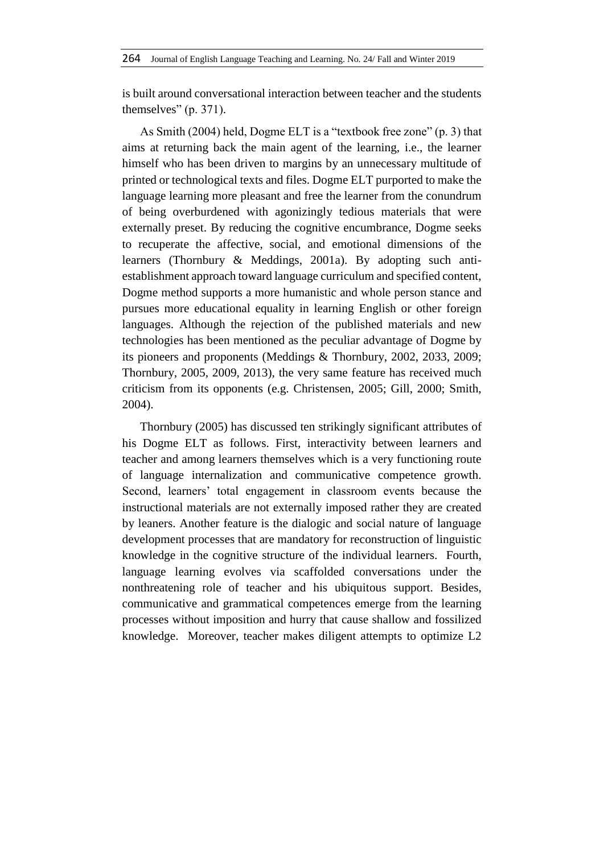is built around conversational interaction between teacher and the students themselves" (p. 371).

As Smith (2004) held, Dogme ELT is a "textbook free zone" (p. 3) that aims at returning back the main agent of the learning, i.e., the learner himself who has been driven to margins by an unnecessary multitude of printed or technological texts and files. Dogme ELT purported to make the language learning more pleasant and free the learner from the conundrum of being overburdened with agonizingly tedious materials that were externally preset. By reducing the cognitive encumbrance, Dogme seeks to recuperate the affective, social, and emotional dimensions of the learners (Thornbury & Meddings, 2001a). By adopting such antiestablishment approach toward language curriculum and specified content, Dogme method supports a more humanistic and whole person stance and pursues more educational equality in learning English or other foreign languages. Although the rejection of the published materials and new technologies has been mentioned as the peculiar advantage of Dogme by its pioneers and proponents (Meddings & Thornbury, 2002, 2033, 2009; Thornbury, 2005, 2009, 2013), the very same feature has received much criticism from its opponents (e.g. Christensen, 2005; Gill, 2000; Smith, 2004).

Thornbury (2005) has discussed ten strikingly significant attributes of his Dogme ELT as follows. First, interactivity between learners and teacher and among learners themselves which is a very functioning route of language internalization and communicative competence growth. Second, learners' total engagement in classroom events because the instructional materials are not externally imposed rather they are created by leaners. Another feature is the dialogic and social nature of language development processes that are mandatory for reconstruction of linguistic knowledge in the cognitive structure of the individual learners. Fourth, language learning evolves via scaffolded conversations under the nonthreatening role of teacher and his ubiquitous support. Besides, communicative and grammatical competences emerge from the learning processes without imposition and hurry that cause shallow and fossilized knowledge. Moreover, teacher makes diligent attempts to optimize L2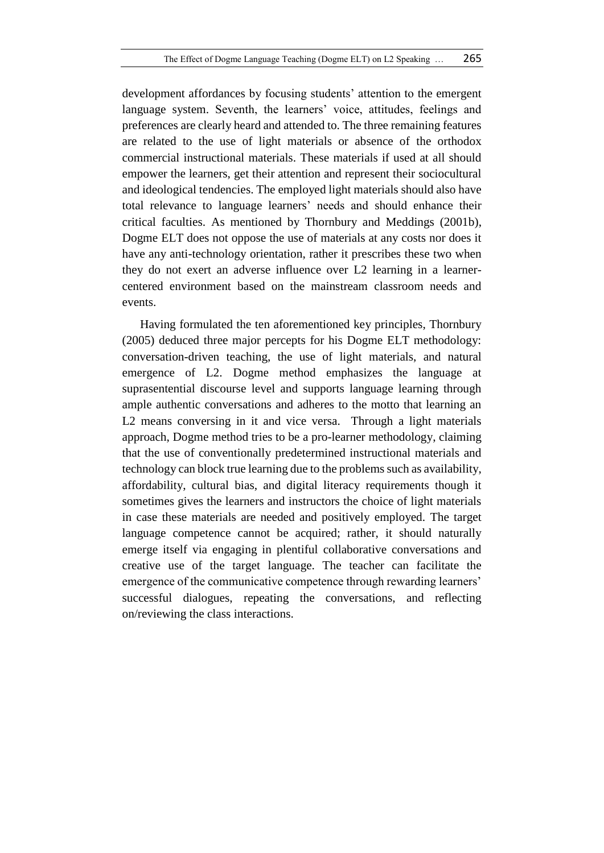development affordances by focusing students' attention to the emergent language system. Seventh, the learners' voice, attitudes, feelings and preferences are clearly heard and attended to. The three remaining features are related to the use of light materials or absence of the orthodox commercial instructional materials. These materials if used at all should empower the learners, get their attention and represent their sociocultural and ideological tendencies. The employed light materials should also have total relevance to language learners' needs and should enhance their critical faculties. As mentioned by Thornbury and Meddings (2001b), Dogme ELT does not oppose the use of materials at any costs nor does it have any anti-technology orientation, rather it prescribes these two when they do not exert an adverse influence over L2 learning in a learnercentered environment based on the mainstream classroom needs and events.

Having formulated the ten aforementioned key principles, Thornbury (2005) deduced three major percepts for his Dogme ELT methodology: conversation-driven teaching, the use of light materials, and natural emergence of L2. Dogme method emphasizes the language at suprasentential discourse level and supports language learning through ample authentic conversations and adheres to the motto that learning an L2 means conversing in it and vice versa. Through a light materials approach, Dogme method tries to be a pro-learner methodology, claiming that the use of conventionally predetermined instructional materials and technology can block true learning due to the problems such as availability, affordability, cultural bias, and digital literacy requirements though it sometimes gives the learners and instructors the choice of light materials in case these materials are needed and positively employed. The target language competence cannot be acquired; rather, it should naturally emerge itself via engaging in plentiful collaborative conversations and creative use of the target language. The teacher can facilitate the emergence of the communicative competence through rewarding learners' successful dialogues, repeating the conversations, and reflecting on/reviewing the class interactions.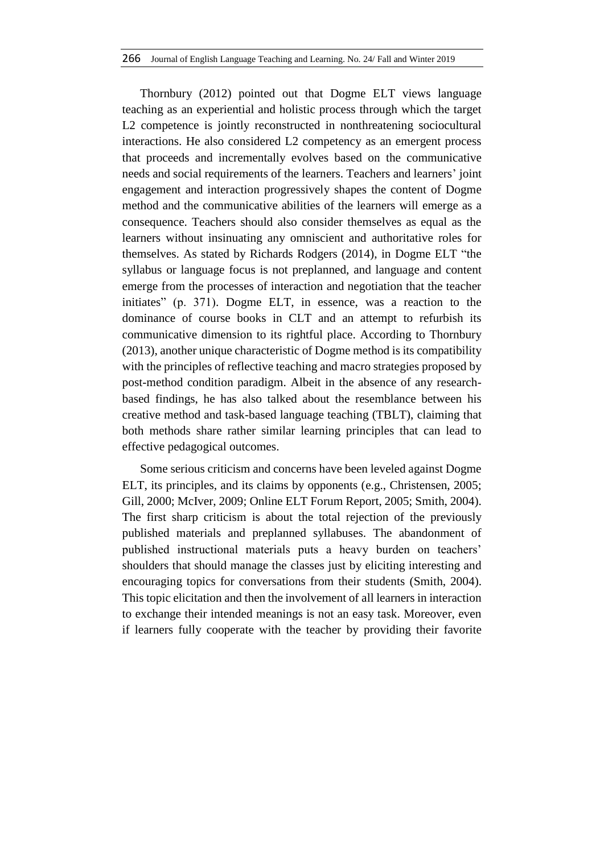Thornbury (2012) pointed out that Dogme ELT views language teaching as an experiential and holistic process through which the target L2 competence is jointly reconstructed in nonthreatening sociocultural interactions. He also considered L2 competency as an emergent process that proceeds and incrementally evolves based on the communicative needs and social requirements of the learners. Teachers and learners' joint engagement and interaction progressively shapes the content of Dogme method and the communicative abilities of the learners will emerge as a consequence. Teachers should also consider themselves as equal as the learners without insinuating any omniscient and authoritative roles for themselves. As stated by Richards Rodgers (2014), in Dogme ELT "the syllabus or language focus is not preplanned, and language and content emerge from the processes of interaction and negotiation that the teacher initiates" (p. 371). Dogme ELT, in essence, was a reaction to the dominance of course books in CLT and an attempt to refurbish its communicative dimension to its rightful place. According to Thornbury (2013), another unique characteristic of Dogme method is its compatibility with the principles of reflective teaching and macro strategies proposed by post-method condition paradigm. Albeit in the absence of any researchbased findings, he has also talked about the resemblance between his creative method and task-based language teaching (TBLT), claiming that both methods share rather similar learning principles that can lead to effective pedagogical outcomes.

Some serious criticism and concerns have been leveled against Dogme ELT, its principles, and its claims by opponents (e.g., Christensen, 2005; Gill, 2000; McIver, 2009; Online ELT Forum Report, 2005; Smith, 2004). The first sharp criticism is about the total rejection of the previously published materials and preplanned syllabuses. The abandonment of published instructional materials puts a heavy burden on teachers' shoulders that should manage the classes just by eliciting interesting and encouraging topics for conversations from their students (Smith, 2004). This topic elicitation and then the involvement of all learners in interaction to exchange their intended meanings is not an easy task. Moreover, even if learners fully cooperate with the teacher by providing their favorite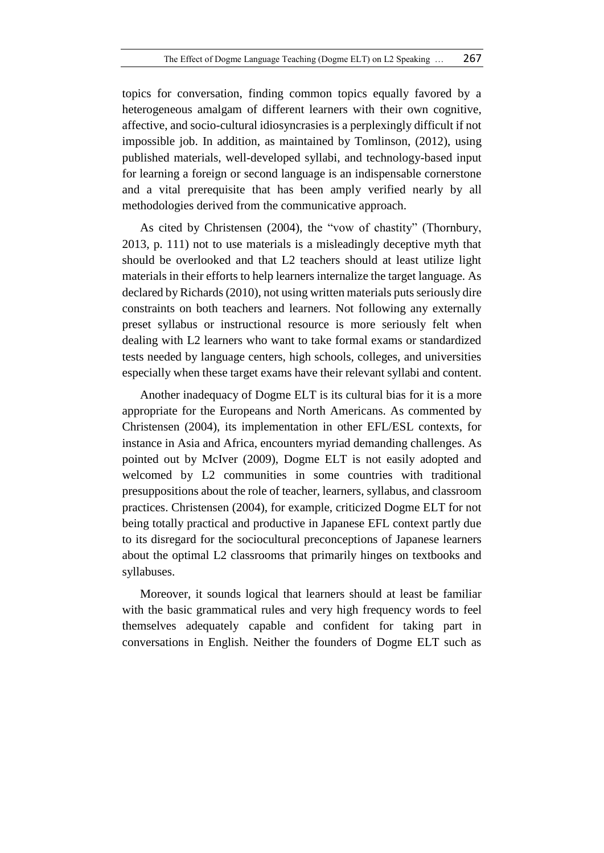topics for conversation, finding common topics equally favored by a heterogeneous amalgam of different learners with their own cognitive, affective, and socio-cultural idiosyncrasies is a perplexingly difficult if not impossible job. In addition, as maintained by Tomlinson, (2012), using published materials, well-developed syllabi, and technology-based input for learning a foreign or second language is an indispensable cornerstone and a vital prerequisite that has been amply verified nearly by all methodologies derived from the communicative approach.

As cited by Christensen (2004), the "vow of chastity" (Thornbury, 2013, p. 111) not to use materials is a misleadingly deceptive myth that should be overlooked and that L2 teachers should at least utilize light materials in their efforts to help learners internalize the target language. As declared by Richards (2010), not using written materials puts seriously dire constraints on both teachers and learners. Not following any externally preset syllabus or instructional resource is more seriously felt when dealing with L2 learners who want to take formal exams or standardized tests needed by language centers, high schools, colleges, and universities especially when these target exams have their relevant syllabi and content.

Another inadequacy of Dogme ELT is its cultural bias for it is a more appropriate for the Europeans and North Americans. As commented by Christensen (2004), its implementation in other EFL/ESL contexts, for instance in Asia and Africa, encounters myriad demanding challenges. As pointed out by McIver (2009), Dogme ELT is not easily adopted and welcomed by L2 communities in some countries with traditional presuppositions about the role of teacher, learners, syllabus, and classroom practices. Christensen (2004), for example, criticized Dogme ELT for not being totally practical and productive in Japanese EFL context partly due to its disregard for the sociocultural preconceptions of Japanese learners about the optimal L2 classrooms that primarily hinges on textbooks and syllabuses.

Moreover, it sounds logical that learners should at least be familiar with the basic grammatical rules and very high frequency words to feel themselves adequately capable and confident for taking part in conversations in English. Neither the founders of Dogme ELT such as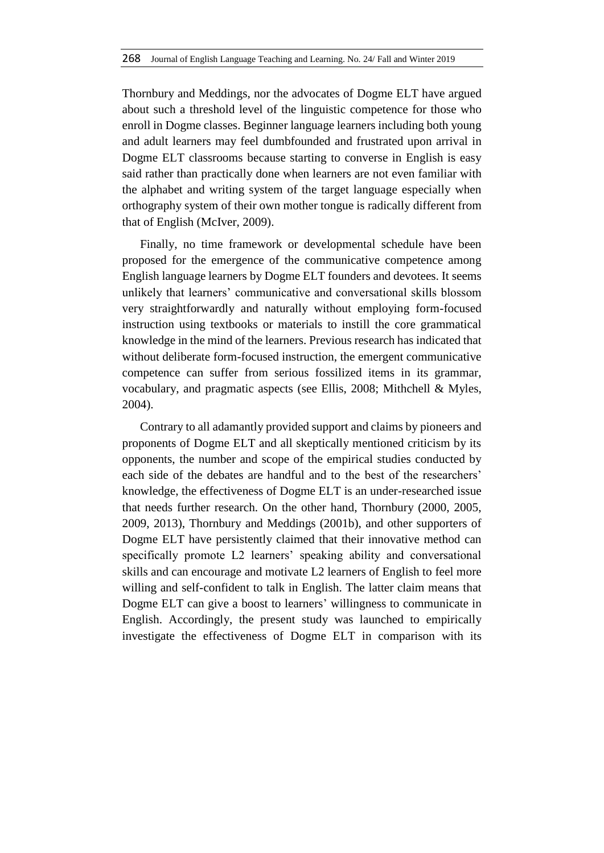Thornbury and Meddings, nor the advocates of Dogme ELT have argued about such a threshold level of the linguistic competence for those who enroll in Dogme classes. Beginner language learners including both young and adult learners may feel dumbfounded and frustrated upon arrival in Dogme ELT classrooms because starting to converse in English is easy said rather than practically done when learners are not even familiar with the alphabet and writing system of the target language especially when orthography system of their own mother tongue is radically different from that of English (McIver, 2009).

Finally, no time framework or developmental schedule have been proposed for the emergence of the communicative competence among English language learners by Dogme ELT founders and devotees. It seems unlikely that learners' communicative and conversational skills blossom very straightforwardly and naturally without employing form-focused instruction using textbooks or materials to instill the core grammatical knowledge in the mind of the learners. Previous research has indicated that without deliberate form-focused instruction, the emergent communicative competence can suffer from serious fossilized items in its grammar, vocabulary, and pragmatic aspects (see Ellis, 2008; Mithchell & Myles, 2004).

Contrary to all adamantly provided support and claims by pioneers and proponents of Dogme ELT and all skeptically mentioned criticism by its opponents, the number and scope of the empirical studies conducted by each side of the debates are handful and to the best of the researchers' knowledge, the effectiveness of Dogme ELT is an under-researched issue that needs further research. On the other hand, Thornbury (2000, 2005, 2009, 2013), Thornbury and Meddings (2001b), and other supporters of Dogme ELT have persistently claimed that their innovative method can specifically promote L2 learners' speaking ability and conversational skills and can encourage and motivate L2 learners of English to feel more willing and self-confident to talk in English. The latter claim means that Dogme ELT can give a boost to learners' willingness to communicate in English. Accordingly, the present study was launched to empirically investigate the effectiveness of Dogme ELT in comparison with its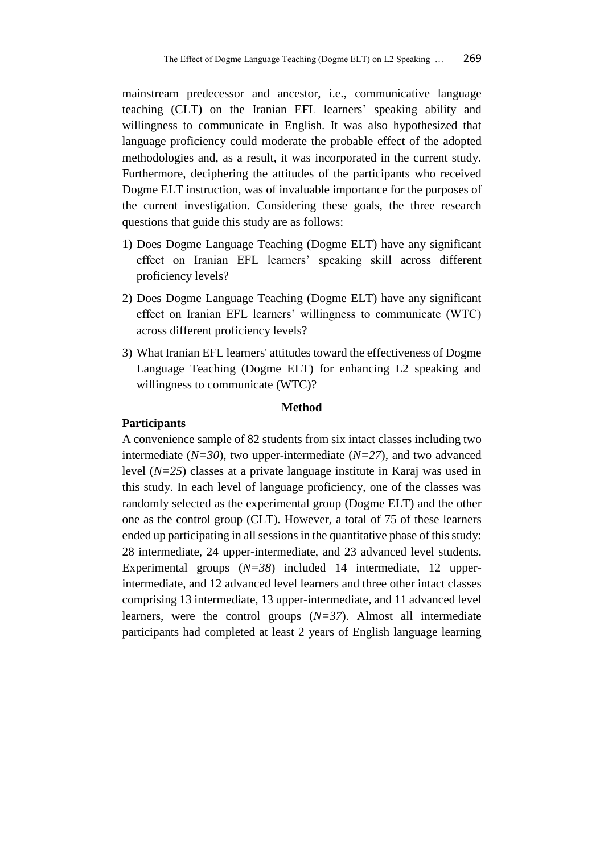mainstream predecessor and ancestor, i.e., communicative language teaching (CLT) on the Iranian EFL learners' speaking ability and willingness to communicate in English. It was also hypothesized that language proficiency could moderate the probable effect of the adopted methodologies and, as a result, it was incorporated in the current study. Furthermore, deciphering the attitudes of the participants who received Dogme ELT instruction, was of invaluable importance for the purposes of the current investigation. Considering these goals, the three research questions that guide this study are as follows:

- 1) Does Dogme Language Teaching (Dogme ELT) have any significant effect on Iranian EFL learners' speaking skill across different proficiency levels?
- 2) Does Dogme Language Teaching (Dogme ELT) have any significant effect on Iranian EFL learners' willingness to communicate (WTC) across different proficiency levels?
- 3) What Iranian EFL learners' attitudes toward the effectiveness of Dogme Language Teaching (Dogme ELT) for enhancing L2 speaking and willingness to communicate (WTC)?

### **Method**

#### **Participants**

A convenience sample of 82 students from six intact classes including two intermediate (*N=30*), two upper-intermediate (*N=27*), and two advanced level (*N=25*) classes at a private language institute in Karaj was used in this study. In each level of language proficiency, one of the classes was randomly selected as the experimental group (Dogme ELT) and the other one as the control group (CLT). However, a total of 75 of these learners ended up participating in all sessions in the quantitative phase of this study: 28 intermediate, 24 upper-intermediate, and 23 advanced level students. Experimental groups (*N=38*) included 14 intermediate, 12 upperintermediate, and 12 advanced level learners and three other intact classes comprising 13 intermediate, 13 upper-intermediate, and 11 advanced level learners, were the control groups (*N=37*). Almost all intermediate participants had completed at least 2 years of English language learning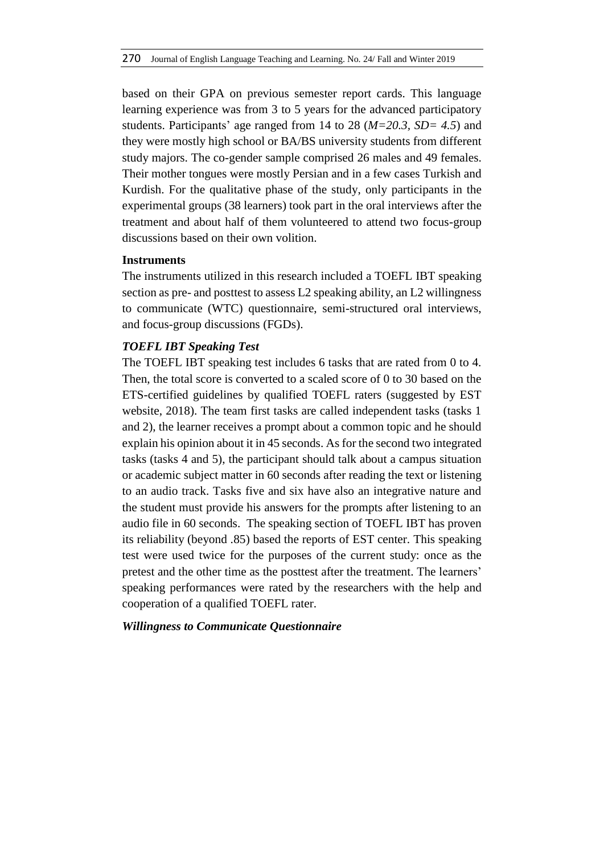based on their GPA on previous semester report cards. This language learning experience was from 3 to 5 years for the advanced participatory students. Participants' age ranged from 14 to 28 (*M=20.3, SD= 4.5*) and they were mostly high school or BA/BS university students from different study majors. The co-gender sample comprised 26 males and 49 females. Their mother tongues were mostly Persian and in a few cases Turkish and Kurdish. For the qualitative phase of the study, only participants in the experimental groups (38 learners) took part in the oral interviews after the treatment and about half of them volunteered to attend two focus-group discussions based on their own volition.

### **Instruments**

The instruments utilized in this research included a TOEFL IBT speaking section as pre- and posttest to assess L2 speaking ability, an L2 willingness to communicate (WTC) questionnaire, semi-structured oral interviews, and focus-group discussions (FGDs).

### *TOEFL IBT Speaking Test*

The TOEFL IBT speaking test includes 6 tasks that are rated from 0 to 4. Then, the total score is converted to a scaled score of 0 to 30 based on the ETS-certified guidelines by qualified TOEFL raters (suggested by EST website, 2018). The team first tasks are called independent tasks (tasks 1 and 2), the learner receives a prompt about a common topic and he should explain his opinion about it in 45 seconds. As for the second two integrated tasks (tasks 4 and 5), the participant should talk about a campus situation or academic subject matter in 60 seconds after reading the text or listening to an audio track. Tasks five and six have also an integrative nature and the student must provide his answers for the prompts after listening to an audio file in 60 seconds. The speaking section of TOEFL IBT has proven its reliability (beyond .85) based the reports of EST center. This speaking test were used twice for the purposes of the current study: once as the pretest and the other time as the posttest after the treatment. The learners' speaking performances were rated by the researchers with the help and cooperation of a qualified TOEFL rater.

# *Willingness to Communicate Questionnaire*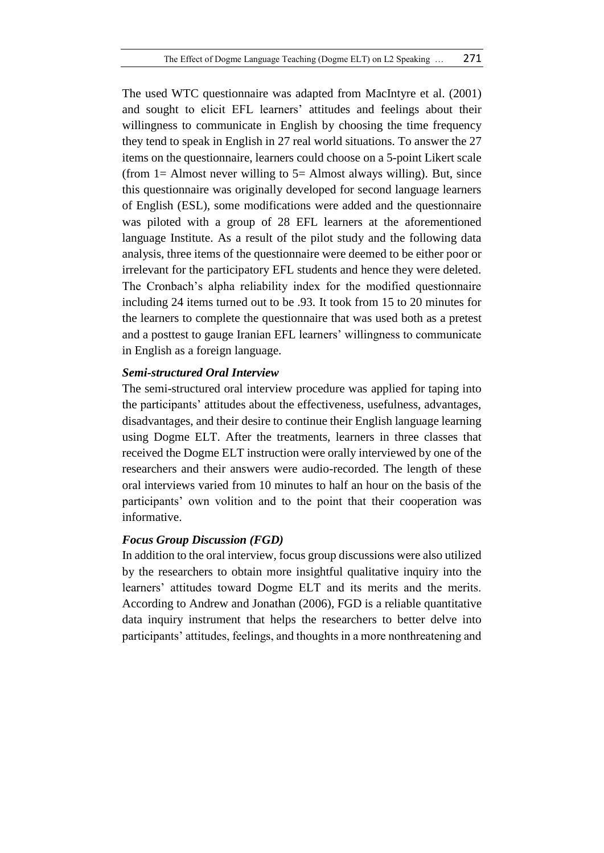The used WTC questionnaire was adapted from MacIntyre et al. (2001) and sought to elicit EFL learners' attitudes and feelings about their willingness to communicate in English by choosing the time frequency they tend to speak in English in 27 real world situations. To answer the 27 items on the questionnaire, learners could choose on a 5-point Likert scale (from  $1=$  Almost never willing to  $5=$  Almost always willing). But, since this questionnaire was originally developed for second language learners of English (ESL), some modifications were added and the questionnaire was piloted with a group of 28 EFL learners at the aforementioned language Institute. As a result of the pilot study and the following data analysis, three items of the questionnaire were deemed to be either poor or irrelevant for the participatory EFL students and hence they were deleted. The Cronbach's alpha reliability index for the modified questionnaire including 24 items turned out to be .93. It took from 15 to 20 minutes for the learners to complete the questionnaire that was used both as a pretest and a posttest to gauge Iranian EFL learners' willingness to communicate in English as a foreign language.

# *Semi-structured Oral Interview*

The semi-structured oral interview procedure was applied for taping into the participants' attitudes about the effectiveness, usefulness, advantages, disadvantages, and their desire to continue their English language learning using Dogme ELT. After the treatments, learners in three classes that received the Dogme ELT instruction were orally interviewed by one of the researchers and their answers were audio-recorded. The length of these oral interviews varied from 10 minutes to half an hour on the basis of the participants' own volition and to the point that their cooperation was informative.

# *Focus Group Discussion (FGD)*

In addition to the oral interview, focus group discussions were also utilized by the researchers to obtain more insightful qualitative inquiry into the learners' attitudes toward Dogme ELT and its merits and the merits. According to Andrew and Jonathan (2006), FGD is a reliable quantitative data inquiry instrument that helps the researchers to better delve into participants' attitudes, feelings, and thoughts in a more nonthreatening and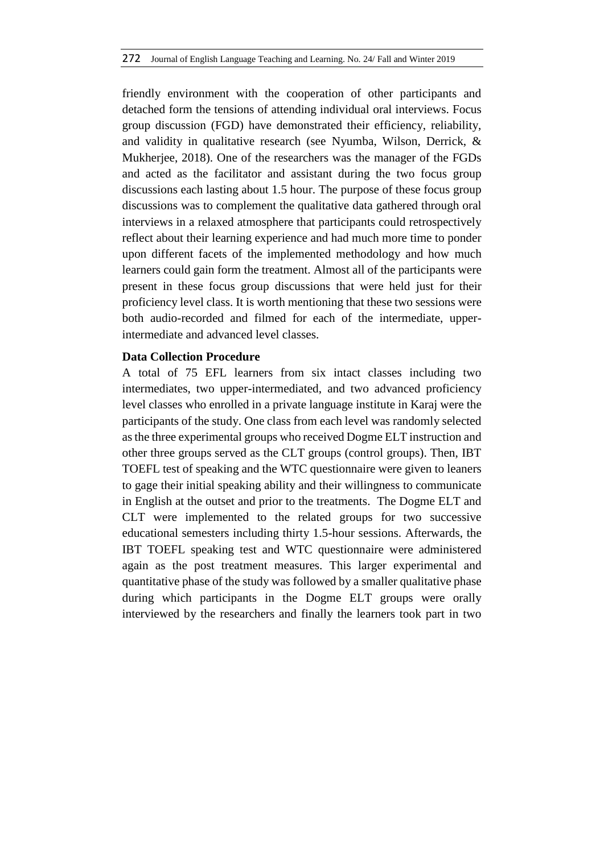friendly environment with the cooperation of other participants and detached form the tensions of attending individual oral interviews. Focus group discussion (FGD) have demonstrated their efficiency, reliability, and validity in qualitative research (see Nyumba, Wilson, Derrick, & Mukherjee, 2018). One of the researchers was the manager of the FGDs and acted as the facilitator and assistant during the two focus group discussions each lasting about 1.5 hour. The purpose of these focus group discussions was to complement the qualitative data gathered through oral interviews in a relaxed atmosphere that participants could retrospectively reflect about their learning experience and had much more time to ponder upon different facets of the implemented methodology and how much learners could gain form the treatment. Almost all of the participants were present in these focus group discussions that were held just for their proficiency level class. It is worth mentioning that these two sessions were both audio-recorded and filmed for each of the intermediate, upperintermediate and advanced level classes.

# **Data Collection Procedure**

A total of 75 EFL learners from six intact classes including two intermediates, two upper-intermediated, and two advanced proficiency level classes who enrolled in a private language institute in Karaj were the participants of the study. One class from each level was randomly selected as the three experimental groups who received Dogme ELT instruction and other three groups served as the CLT groups (control groups). Then, IBT TOEFL test of speaking and the WTC questionnaire were given to leaners to gage their initial speaking ability and their willingness to communicate in English at the outset and prior to the treatments. The Dogme ELT and CLT were implemented to the related groups for two successive educational semesters including thirty 1.5-hour sessions. Afterwards, the IBT TOEFL speaking test and WTC questionnaire were administered again as the post treatment measures. This larger experimental and quantitative phase of the study was followed by a smaller qualitative phase during which participants in the Dogme ELT groups were orally interviewed by the researchers and finally the learners took part in two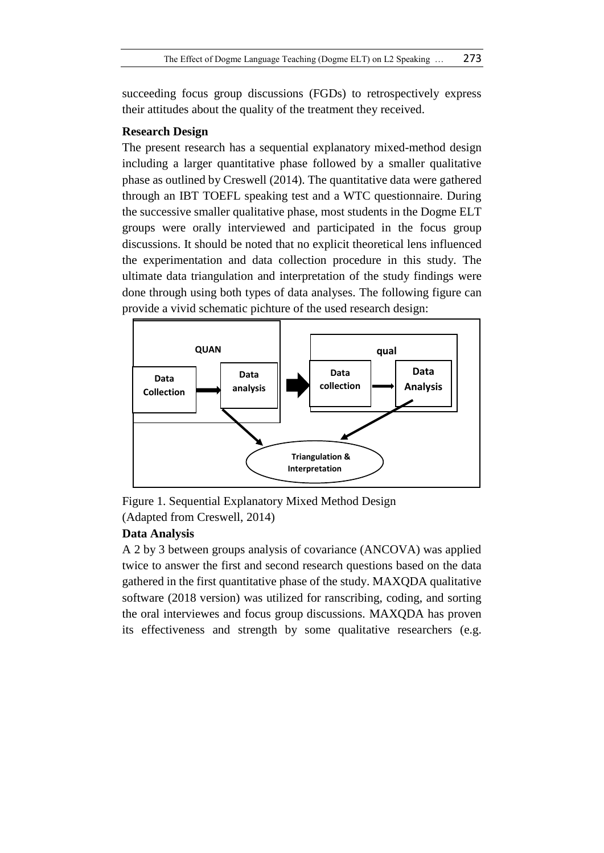succeeding focus group discussions (FGDs) to retrospectively express their attitudes about the quality of the treatment they received.

# **Research Design**

The present research has a sequential explanatory mixed-method design including a larger quantitative phase followed by a smaller qualitative phase as outlined by Creswell (2014). The quantitative data were gathered through an IBT TOEFL speaking test and a WTC questionnaire. During the successive smaller qualitative phase, most students in the Dogme ELT groups were orally interviewed and participated in the focus group discussions. It should be noted that no explicit theoretical lens influenced the experimentation and data collection procedure in this study. The ultimate data triangulation and interpretation of the study findings were done through using both types of data analyses. The following figure can provide a vivid schematic pichture of the used research design:



Figure 1. Sequential Explanatory Mixed Method Design (Adapted from Creswell, 2014)

# **Data Analysis**

A 2 by 3 between groups analysis of covariance (ANCOVA) was applied twice to answer the first and second research questions based on the data gathered in the first quantitative phase of the study. MAXQDA qualitative software (2018 version) was utilized for ranscribing, coding, and sorting the oral interviewes and focus group discussions. MAXQDA has proven its effectiveness and strength by some qualitative researchers (e.g.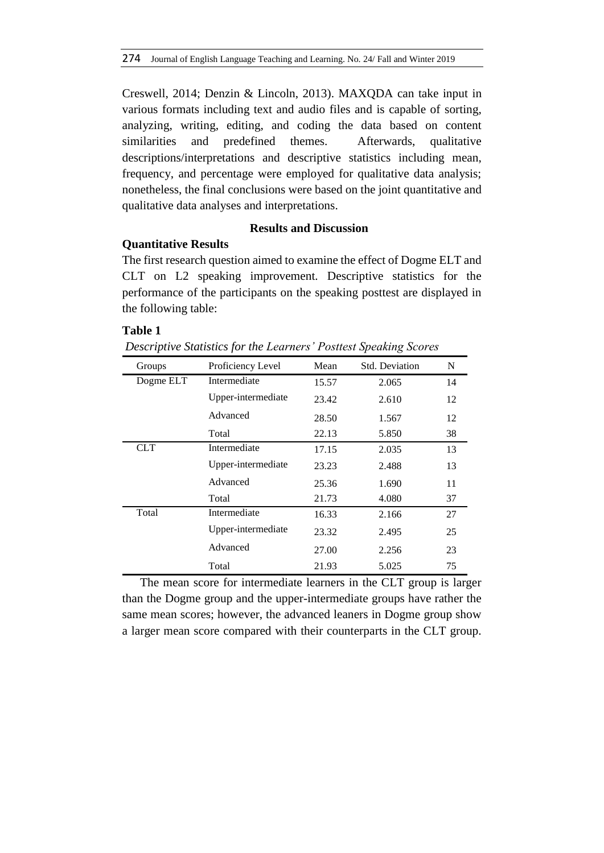Creswell, 2014; Denzin & Lincoln, 2013). MAXQDA can take input in various formats including text and audio files and is capable of sorting, analyzing, writing, editing, and coding the data based on content similarities and predefined themes. Afterwards, qualitative descriptions/interpretations and descriptive statistics including mean, frequency, and percentage were employed for qualitative data analysis; nonetheless, the final conclusions were based on the joint quantitative and qualitative data analyses and interpretations.

# **Results and Discussion**

# **Quantitative Results**

The first research question aimed to examine the effect of Dogme ELT and CLT on L2 speaking improvement. Descriptive statistics for the performance of the participants on the speaking posttest are displayed in the following table:

# **Table 1**

| 1 UNIV 1<br>Descriptive Statistics for the Learners' Posttest Speaking Scores |                    |       |       |    |  |  |  |  |
|-------------------------------------------------------------------------------|--------------------|-------|-------|----|--|--|--|--|
| <b>Std. Deviation</b><br>Proficiency Level<br>Mean<br>N<br>Groups             |                    |       |       |    |  |  |  |  |
| Dogme ELT                                                                     | Intermediate       | 15.57 | 2.065 | 14 |  |  |  |  |
|                                                                               | Upper-intermediate | 23.42 | 2.610 | 12 |  |  |  |  |
|                                                                               | Advanced           | 28.50 | 1.567 | 12 |  |  |  |  |
|                                                                               | Total              | 22.13 | 5.850 | 38 |  |  |  |  |
| <b>CLT</b>                                                                    | Intermediate       | 17.15 | 2.035 | 13 |  |  |  |  |
|                                                                               | Upper-intermediate | 23.23 | 2.488 | 13 |  |  |  |  |
|                                                                               | Advanced           | 25.36 | 1.690 | 11 |  |  |  |  |
|                                                                               | Total              | 21.73 | 4.080 | 37 |  |  |  |  |
| Total                                                                         | Intermediate       | 16.33 | 2.166 | 27 |  |  |  |  |
|                                                                               | Upper-intermediate | 23.32 | 2.495 | 25 |  |  |  |  |
|                                                                               | Advanced           | 27.00 | 2.256 | 23 |  |  |  |  |

The mean score for intermediate learners in the CLT group is larger than the Dogme group and the upper-intermediate groups have rather the same mean scores; however, the advanced leaners in Dogme group show a larger mean score compared with their counterparts in the CLT group.

Total 21.93 5.025 75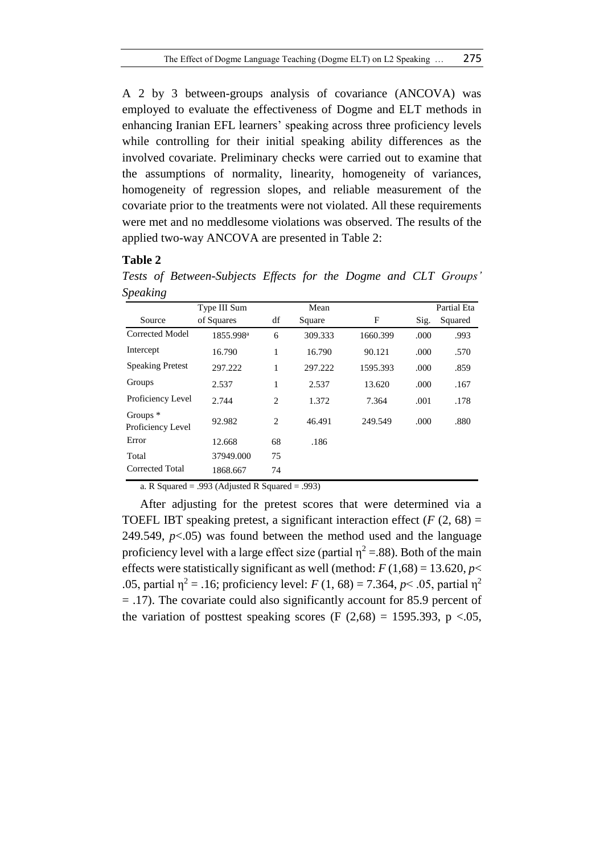A 2 by 3 between-groups analysis of covariance (ANCOVA) was employed to evaluate the effectiveness of Dogme and ELT methods in enhancing Iranian EFL learners' speaking across three proficiency levels while controlling for their initial speaking ability differences as the involved covariate. Preliminary checks were carried out to examine that the assumptions of normality, linearity, homogeneity of variances, homogeneity of regression slopes, and reliable measurement of the covariate prior to the treatments were not violated. All these requirements were met and no meddlesome violations was observed. The results of the applied two-way ANCOVA are presented in Table 2:

# **Table 2**

| $\check{ }$                     | Type III Sum          |    | Mean    |          |      | Partial Eta |
|---------------------------------|-----------------------|----|---------|----------|------|-------------|
| Source                          | of Squares            | df | Square  | F        | Sig. | Squared     |
| Corrected Model                 | 1855.998 <sup>a</sup> | 6  | 309.333 | 1660.399 | .000 | .993        |
| Intercept                       | 16.790                | 1  | 16.790  | 90.121   | .000 | .570        |
| <b>Speaking Pretest</b>         | 297.222               | 1  | 297.222 | 1595.393 | .000 | .859        |
| Groups                          | 2.537                 | 1  | 2.537   | 13.620   | .000 | .167        |
| Proficiency Level               | 2.744                 | 2  | 1.372   | 7.364    | .001 | .178        |
| Groups $*$<br>Proficiency Level | 92.982                | 2  | 46.491  | 249.549  | .000 | .880        |
| Error                           | 12.668                | 68 | .186    |          |      |             |
| Total                           | 37949.000             | 75 |         |          |      |             |
| <b>Corrected Total</b>          | 1868.667              | 74 |         |          |      |             |

*Tests of Between-Subjects Effects for the Dogme and CLT Groups' Speaking*

a. R Squared = .993 (Adjusted R Squared = .993)

After adjusting for the pretest scores that were determined via a TOEFL IBT speaking pretest, a significant interaction effect  $(F (2, 68) =$ 249.549,  $p<0.05$ ) was found between the method used and the language proficiency level with a large effect size (partial  $\eta^2 = .88$ ). Both of the main effects were statistically significant as well (method:  $F(1,68) = 13.620, p <$ .05, partial  $\eta^2 = .16$ ; proficiency level: *F* (1, 68) = 7.364, *p* < .05, partial  $\eta^2$ = .17). The covariate could also significantly account for 85.9 percent of the variation of posttest speaking scores (F  $(2,68) = 1595.393$ , p <.05,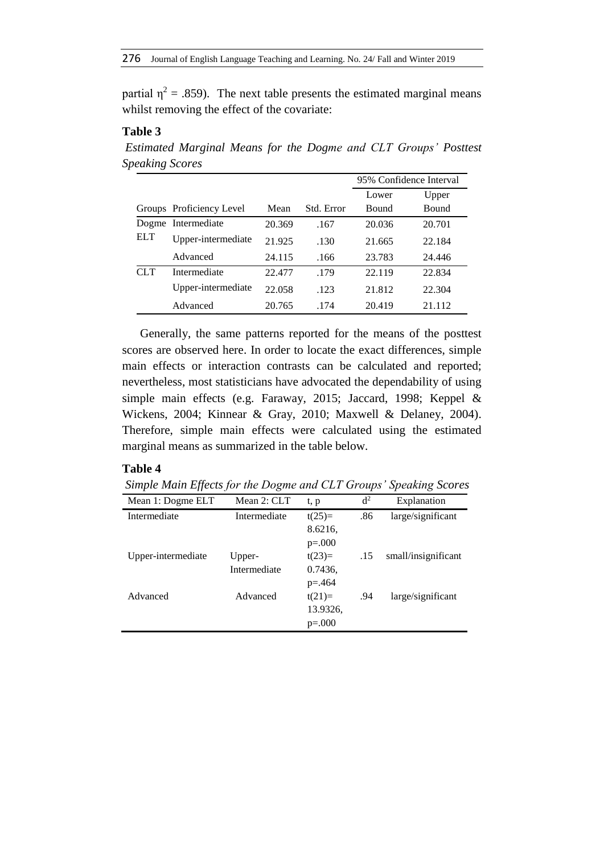partial  $\eta^2$  = .859). The next table presents the estimated marginal means whilst removing the effect of the covariate:

# **Table 3**

*Estimated Marginal Means for the Dogme and CLT Groups' Posttest Speaking Scores*

|       |                          |        |            | 95% Confidence Interval |              |
|-------|--------------------------|--------|------------|-------------------------|--------------|
|       |                          |        |            | Lower                   | Upper        |
|       | Groups Proficiency Level | Mean   | Std. Error | Bound                   | <b>Bound</b> |
| Dogme | Intermediate             | 20.369 | .167       | 20.036                  | 20.701       |
| ELT   | Upper-intermediate       | 21.925 | .130       | 21.665                  | 22.184       |
|       | Advanced                 | 24.115 | .166       | 23.783                  | 24.446       |
| CLT   | Intermediate             | 22.477 | .179       | 22.119                  | 22.834       |
|       | Upper-intermediate       | 22.058 | .123       | 21.812                  | 22.304       |
|       | Advanced                 | 20.765 | .174       | 20.419                  | 21.112       |

Generally, the same patterns reported for the means of the posttest scores are observed here. In order to locate the exact differences, simple main effects or interaction contrasts can be calculated and reported; nevertheless, most statisticians have advocated the dependability of using simple main effects (e.g. Faraway, 2015; Jaccard, 1998; Keppel & Wickens, 2004; Kinnear & Gray, 2010; Maxwell & Delaney, 2004). Therefore, simple main effects were calculated using the estimated marginal means as summarized in the table below.

### **Table 4**

*Simple Main Effects for the Dogme and CLT Groups' Speaking Scores*

| Mean 1: Dogme ELT  | Mean 2: CLT  | t, p        | d <sup>2</sup> | Explanation         |
|--------------------|--------------|-------------|----------------|---------------------|
| Intermediate       | Intermediate | $t(25)=$    | .86            | large/significant   |
|                    |              | 8.6216,     |                |                     |
|                    |              | $p=.000$    |                |                     |
| Upper-intermediate | Upper-       | $t(23)=$    | .15            | small/insignificant |
|                    | Intermediate | 0.7436,     |                |                     |
|                    |              | $p = 0.464$ |                |                     |
| Advanced           | Advanced     | $t(21)=$    | .94            | large/significant   |
|                    |              | 13.9326,    |                |                     |
|                    |              | $p=.000$    |                |                     |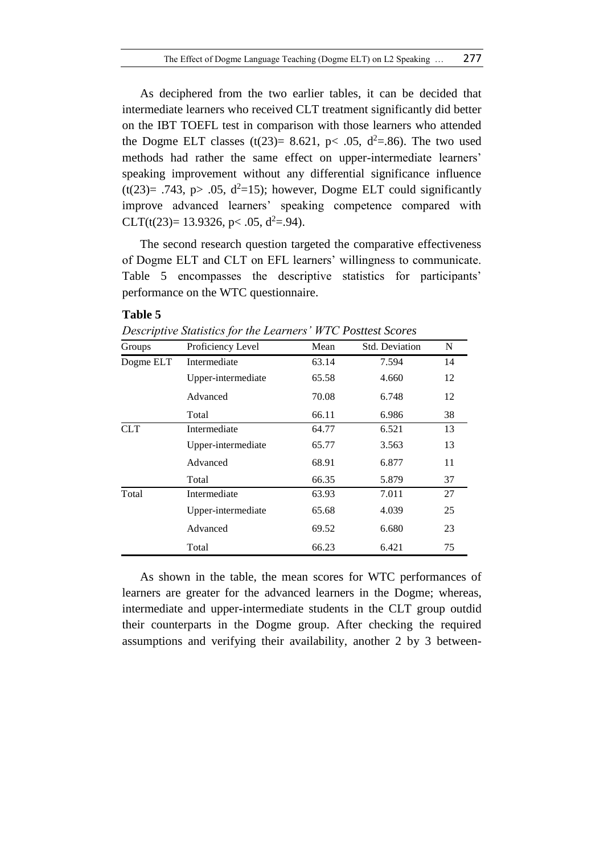As deciphered from the two earlier tables, it can be decided that intermediate learners who received CLT treatment significantly did better on the IBT TOEFL test in comparison with those learners who attended the Dogme ELT classes  $(t(23)= 8.621, p< .05, d^2=.86)$ . The two used methods had rather the same effect on upper-intermediate learners' speaking improvement without any differential significance influence  $(t(23)= .743, p> .05, d<sup>2</sup>=15)$ ; however, Dogme ELT could significantly improve advanced learners' speaking competence compared with CLT(t(23)= 13.9326, p < .05,  $d^2$ =.94).

The second research question targeted the comparative effectiveness of Dogme ELT and CLT on EFL learners' willingness to communicate. Table 5 encompasses the descriptive statistics for participants' performance on the WTC questionnaire.

#### **Table 5**

*Descriptive Statistics for the Learners' WTC Posttest Scores*

| Groups     | Proficiency Level  | Mean  | Std. Deviation | N  |
|------------|--------------------|-------|----------------|----|
| Dogme ELT  | Intermediate       | 63.14 | 7.594          | 14 |
|            | Upper-intermediate | 65.58 | 4.660          | 12 |
|            | Advanced           | 70.08 | 6.748          | 12 |
|            | Total              | 66.11 | 6.986          | 38 |
| <b>CLT</b> | Intermediate       | 64.77 | 6.521          | 13 |
|            | Upper-intermediate | 65.77 | 3.563          | 13 |
|            | Advanced           | 68.91 | 6.877          | 11 |
|            | Total              | 66.35 | 5.879          | 37 |
| Total      | Intermediate       | 63.93 | 7.011          | 27 |
|            | Upper-intermediate | 65.68 | 4.039          | 25 |
|            | Advanced           | 69.52 | 6.680          | 23 |
|            | Total              | 66.23 | 6.421          | 75 |

As shown in the table, the mean scores for WTC performances of learners are greater for the advanced learners in the Dogme; whereas, intermediate and upper-intermediate students in the CLT group outdid their counterparts in the Dogme group. After checking the required assumptions and verifying their availability, another 2 by 3 between-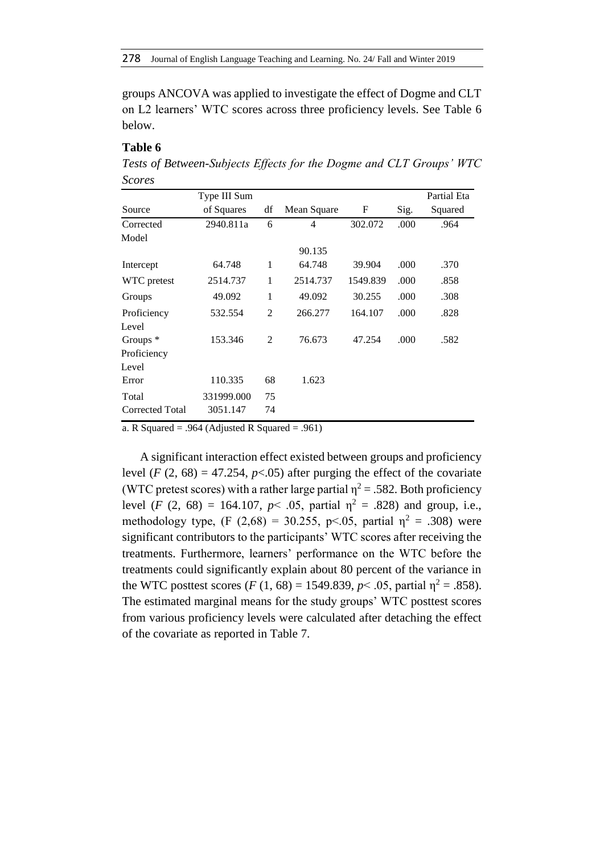groups ANCOVA was applied to investigate the effect of Dogme and CLT on L2 learners' WTC scores across three proficiency levels. See Table 6 below.

### **Table 6**

*Tests of Between-Subjects Effects for the Dogme and CLT Groups' WTC Scores*

|                     | Type III Sum |                |             |          |      | Partial Eta |
|---------------------|--------------|----------------|-------------|----------|------|-------------|
| Source              | of Squares   | df             | Mean Square | F        | Sig. | Squared     |
| Corrected           | 2940.811a    | 6              | 4           | 302.072  | .000 | .964        |
| Model               |              |                |             |          |      |             |
|                     |              |                | 90.135      |          |      |             |
| Intercept           | 64.748       | 1              | 64.748      | 39.904   | .000 | .370        |
| WTC pretest         | 2514.737     | 1              | 2514.737    | 1549.839 | .000 | .858        |
| Groups              | 49.092       | 1              | 49.092      | 30.255   | .000 | .308        |
| Proficiency         | 532.554      | $\overline{2}$ | 266.277     | 164.107  | .000 | .828        |
| Level               |              |                |             |          |      |             |
| Groups <sup>*</sup> | 153.346      | 2              | 76.673      | 47.254   | .000 | .582        |
| Proficiency         |              |                |             |          |      |             |
| Level               |              |                |             |          |      |             |
| Error               | 110.335      | 68             | 1.623       |          |      |             |
| Total               | 331999.000   | 75             |             |          |      |             |
| Corrected Total     | 3051.147     | 74             |             |          |      |             |

a. R Squared = .964 (Adjusted R Squared = .961)

A significant interaction effect existed between groups and proficiency level  $(F (2, 68) = 47.254, p < .05)$  after purging the effect of the covariate (WTC pretest scores) with a rather large partial  $\eta^2 = .582$ . Both proficiency level  $(F (2, 68) = 164.107, p < .05$ , partial  $\eta^2 = .828$ ) and group, i.e., methodology type, (F (2,68) = 30.255, p<.05, partial  $\eta^2$  = .308) were significant contributors to the participants' WTC scores after receiving the treatments. Furthermore, learners' performance on the WTC before the treatments could significantly explain about 80 percent of the variance in the WTC posttest scores (*F* (1, 68) = 1549.839,  $p$  < .05, partial  $\eta^2$  = .858). The estimated marginal means for the study groups' WTC posttest scores from various proficiency levels were calculated after detaching the effect of the covariate as reported in Table 7.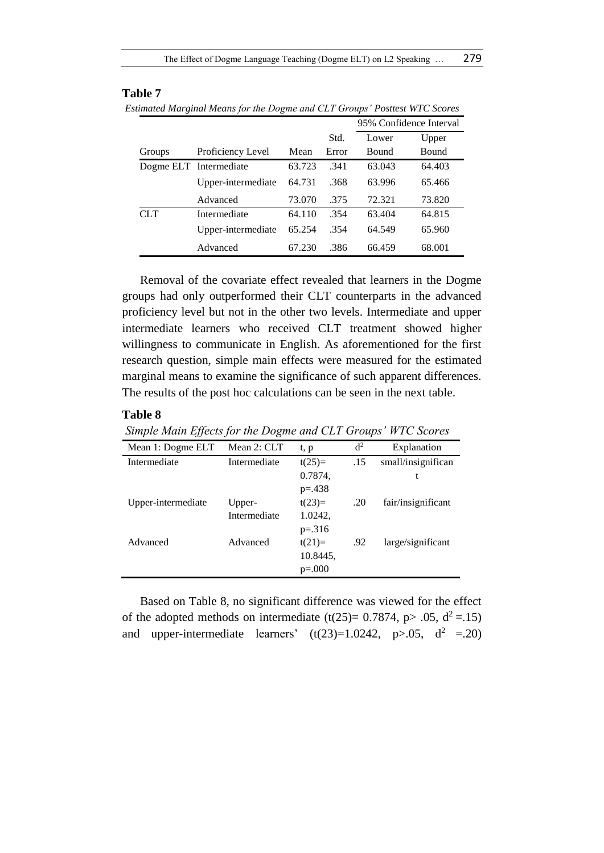| 23 minuted marginul means for the Dogme and CET Groups Toshest 11TC Scores |                                  |        |       |                         |        |  |
|----------------------------------------------------------------------------|----------------------------------|--------|-------|-------------------------|--------|--|
|                                                                            |                                  |        |       | 95% Confidence Interval |        |  |
|                                                                            |                                  |        | Std.  | Lower                   | Upper  |  |
| Groups                                                                     | Proficiency Level                | Mean   | Error | Bound                   | Bound  |  |
|                                                                            | Dogme ELT Intermediate           | 63.723 | -341  | 63.043                  | 64.403 |  |
|                                                                            | Upper-intermediate $64.731$ .368 |        |       | 63.996                  | 65.466 |  |
|                                                                            |                                  |        |       |                         |        |  |

CLT Intermediate 64.110 .354 63.404 64.815

Advanced 73.070 .375 72.321 73.820

Upper-intermediate 65.254 .354 64.549 65.960 Advanced 67.230 .386 66.459 68.001

*Estimated Marginal Means for the Dogme and CLT Groups' Posttest WTC Scores* 

Removal of the covariate effect revealed that learners in the Dogme groups had only outperformed their CLT counterparts in the advanced proficiency level but not in the other two levels. Intermediate and upper intermediate learners who received CLT treatment showed higher willingness to communicate in English. As aforementioned for the first research question, simple main effects were measured for the estimated marginal means to examine the significance of such apparent differences. The results of the post hoc calculations can be seen in the next table.

### **Table 8**

*Simple Main Effects for the Dogme and CLT Groups' WTC Scores*

| Mean 1: Dogme ELT  | Mean 2: CLT  | t, p        | d <sup>2</sup> | Explanation        |
|--------------------|--------------|-------------|----------------|--------------------|
| Intermediate       | Intermediate | $t(25)=$    | .15            | small/insignifican |
|                    |              | 0.7874,     |                | t                  |
|                    |              | $p = 0.438$ |                |                    |
| Upper-intermediate | Upper-       | $t(23)=$    | .20            | fair/insignificant |
|                    | Intermediate | 1.0242,     |                |                    |
|                    |              | $p=.316$    |                |                    |
| Advanced           | Advanced     | $t(21)=$    | .92            | large/significant  |
|                    |              | 10.8445,    |                |                    |
|                    |              | $p=.000$    |                |                    |

Based on Table 8, no significant difference was viewed for the effect of the adopted methods on intermediate  $(t(25)= 0.7874, p > .05, d^2 = .15)$ and upper-intermediate learners'  $(t(23)=1.0242, p>0.05, d<sup>2</sup>=.20)$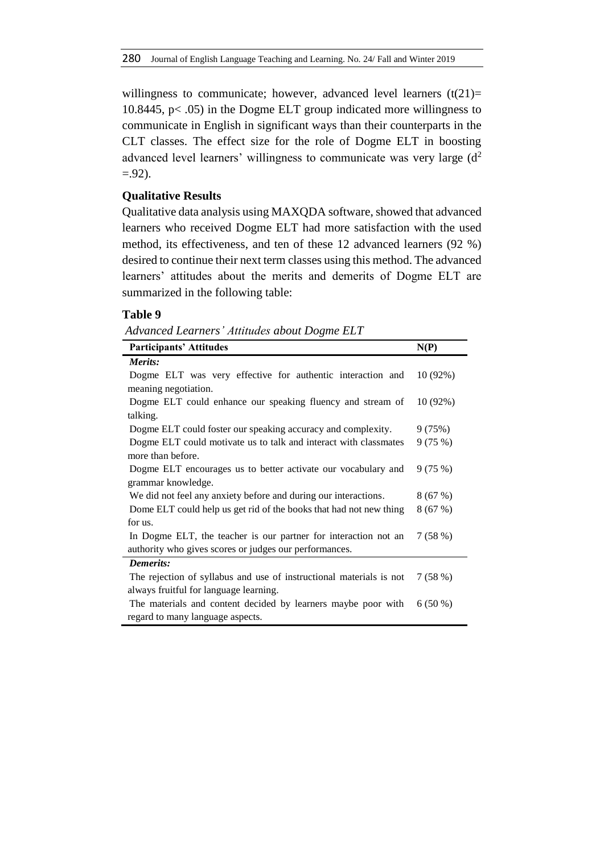willingness to communicate; however, advanced level learners  $(t(21)=$ 10.8445, p< .05) in the Dogme ELT group indicated more willingness to communicate in English in significant ways than their counterparts in the CLT classes. The effect size for the role of Dogme ELT in boosting advanced level learners' willingness to communicate was very large  $(d<sup>2</sup>$  $= .92$ ).

# **Qualitative Results**

Qualitative data analysis using MAXQDA software, showed that advanced learners who received Dogme ELT had more satisfaction with the used method, its effectiveness, and ten of these 12 advanced learners (92 %) desired to continue their next term classes using this method. The advanced learners' attitudes about the merits and demerits of Dogme ELT are summarized in the following table:

#### **Table 9**

*Advanced Learners' Attitudes about Dogme ELT*

| <b>Participants' Attitudes</b>                                      | N(P)      |
|---------------------------------------------------------------------|-----------|
| Merits:                                                             |           |
| Dogme ELT was very effective for authentic interaction and          | 10(92%)   |
| meaning negotiation.                                                |           |
| Dogme ELT could enhance our speaking fluency and stream of          | 10(92%)   |
| talking.                                                            |           |
| Dogme ELT could foster our speaking accuracy and complexity.        | 9(75%)    |
| Dogme ELT could motivate us to talk and interact with classmates    | 9(75%)    |
| more than before.                                                   |           |
| Dogme ELT encourages us to better activate our vocabulary and       | 9(75%)    |
| grammar knowledge.                                                  |           |
| We did not feel any anxiety before and during our interactions.     | 8(67%)    |
| Dome ELT could help us get rid of the books that had not new thing  | 8(67%)    |
| for us.                                                             |           |
| In Dogme ELT, the teacher is our partner for interaction not an     | 7(58%)    |
| authority who gives scores or judges our performances.              |           |
| <b>Demerits:</b>                                                    |           |
| The rejection of syllabus and use of instructional materials is not | 7(58%)    |
| always fruitful for language learning.                              |           |
| The materials and content decided by learners maybe poor with       | $6(50\%)$ |
| regard to many language aspects.                                    |           |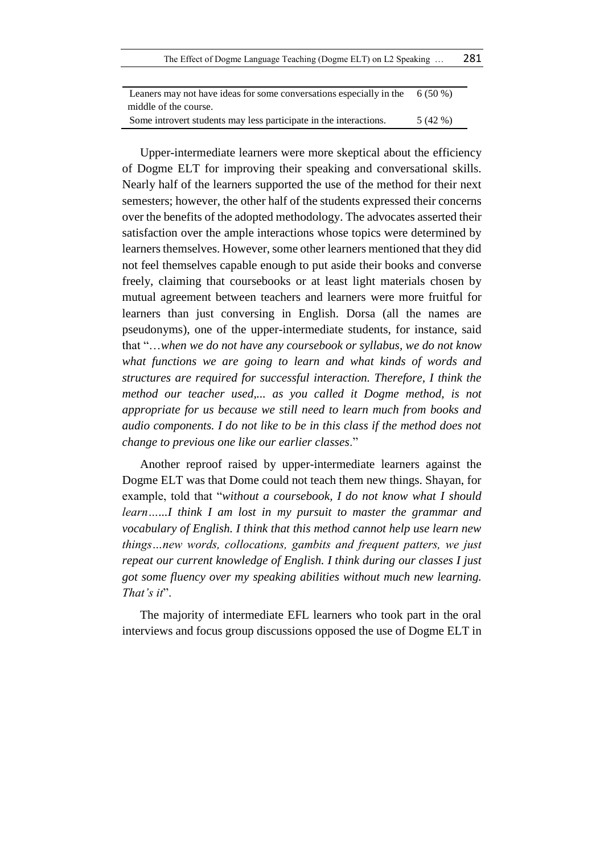The Effect of Dogme Language Teaching (Dogme ELT) on L2 Speaking … 281

| Leaners may not have ideas for some conversations especially in the | $6(50\%)$ |
|---------------------------------------------------------------------|-----------|
| middle of the course.                                               |           |
| Some introvert students may less participate in the interactions.   | 5 (42 %)  |

Upper-intermediate learners were more skeptical about the efficiency of Dogme ELT for improving their speaking and conversational skills. Nearly half of the learners supported the use of the method for their next semesters; however, the other half of the students expressed their concerns over the benefits of the adopted methodology. The advocates asserted their satisfaction over the ample interactions whose topics were determined by learners themselves. However, some other learners mentioned that they did not feel themselves capable enough to put aside their books and converse freely, claiming that coursebooks or at least light materials chosen by mutual agreement between teachers and learners were more fruitful for learners than just conversing in English. Dorsa (all the names are pseudonyms), one of the upper-intermediate students, for instance, said that "…*when we do not have any coursebook or syllabus, we do not know what functions we are going to learn and what kinds of words and structures are required for successful interaction. Therefore, I think the method our teacher used,... as you called it Dogme method, is not appropriate for us because we still need to learn much from books and audio components. I do not like to be in this class if the method does not change to previous one like our earlier classes*."

Another reproof raised by upper-intermediate learners against the Dogme ELT was that Dome could not teach them new things. Shayan, for example, told that "*without a coursebook, I do not know what I should learn…...I think I am lost in my pursuit to master the grammar and vocabulary of English. I think that this method cannot help use learn new things…new words, collocations, gambits and frequent patters, we just repeat our current knowledge of English. I think during our classes I just got some fluency over my speaking abilities without much new learning. That's it*".

The majority of intermediate EFL learners who took part in the oral interviews and focus group discussions opposed the use of Dogme ELT in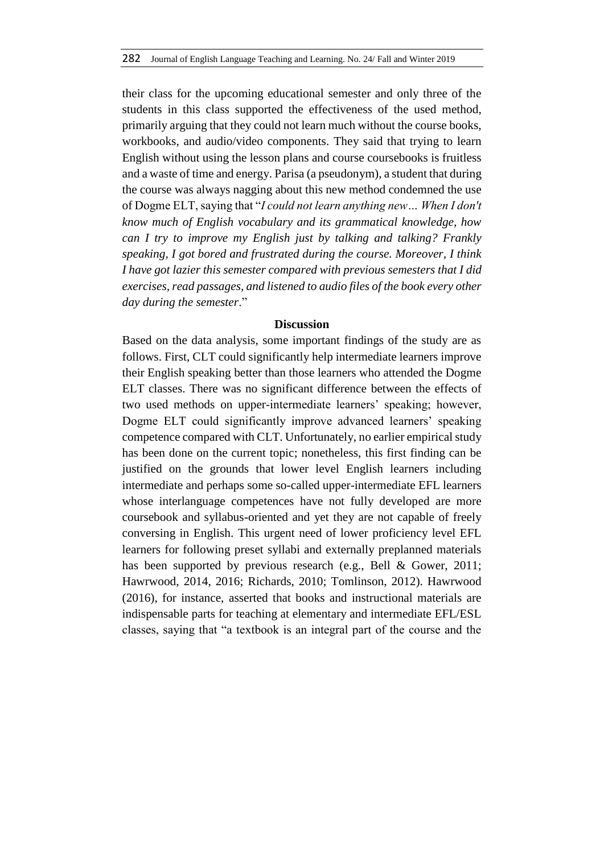their class for the upcoming educational semester and only three of the students in this class supported the effectiveness of the used method, primarily arguing that they could not learn much without the course books, workbooks, and audio/video components. They said that trying to learn English without using the lesson plans and course coursebooks is fruitless and a waste of time and energy. Parisa (a pseudonym), a student that during the course was always nagging about this new method condemned the use of Dogme ELT, saying that "*I could not learn anything new… When I don't know much of English vocabulary and its grammatical knowledge, how can I try to improve my English just by talking and talking? Frankly speaking, I got bored and frustrated during the course. Moreover, I think I have got lazier this semester compared with previous semesters that I did exercises, read passages, and listened to audio files of the book every other day during the semester*."

#### **Discussion**

Based on the data analysis, some important findings of the study are as follows. First, CLT could significantly help intermediate learners improve their English speaking better than those learners who attended the Dogme ELT classes. There was no significant difference between the effects of two used methods on upper-intermediate learners' speaking; however, Dogme ELT could significantly improve advanced learners' speaking competence compared with CLT. Unfortunately, no earlier empirical study has been done on the current topic; nonetheless, this first finding can be justified on the grounds that lower level English learners including intermediate and perhaps some so-called upper-intermediate EFL learners whose interlanguage competences have not fully developed are more coursebook and syllabus-oriented and yet they are not capable of freely conversing in English. This urgent need of lower proficiency level EFL learners for following preset syllabi and externally preplanned materials has been supported by previous research (e.g., Bell & Gower, 2011; Hawrwood, 2014, 2016; Richards, 2010; Tomlinson, 2012). Hawrwood (2016), for instance, asserted that books and instructional materials are indispensable parts for teaching at elementary and intermediate EFL/ESL classes, saying that "a textbook is an integral part of the course and the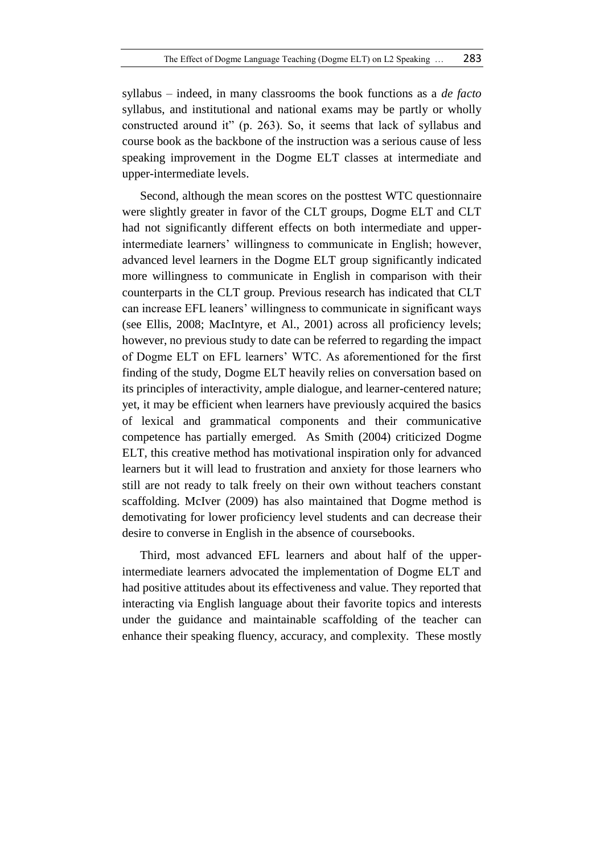syllabus – indeed, in many classrooms the book functions as a *de facto*  syllabus, and institutional and national exams may be partly or wholly constructed around it" (p. 263). So, it seems that lack of syllabus and course book as the backbone of the instruction was a serious cause of less speaking improvement in the Dogme ELT classes at intermediate and upper-intermediate levels.

Second, although the mean scores on the posttest WTC questionnaire were slightly greater in favor of the CLT groups, Dogme ELT and CLT had not significantly different effects on both intermediate and upperintermediate learners' willingness to communicate in English; however, advanced level learners in the Dogme ELT group significantly indicated more willingness to communicate in English in comparison with their counterparts in the CLT group. Previous research has indicated that CLT can increase EFL leaners' willingness to communicate in significant ways (see Ellis, 2008; MacIntyre, et Al., 2001) across all proficiency levels; however, no previous study to date can be referred to regarding the impact of Dogme ELT on EFL learners' WTC. As aforementioned for the first finding of the study, Dogme ELT heavily relies on conversation based on its principles of interactivity, ample dialogue, and learner-centered nature; yet, it may be efficient when learners have previously acquired the basics of lexical and grammatical components and their communicative competence has partially emerged. As Smith (2004) criticized Dogme ELT, this creative method has motivational inspiration only for advanced learners but it will lead to frustration and anxiety for those learners who still are not ready to talk freely on their own without teachers constant scaffolding. McIver (2009) has also maintained that Dogme method is demotivating for lower proficiency level students and can decrease their desire to converse in English in the absence of coursebooks.

Third, most advanced EFL learners and about half of the upperintermediate learners advocated the implementation of Dogme ELT and had positive attitudes about its effectiveness and value. They reported that interacting via English language about their favorite topics and interests under the guidance and maintainable scaffolding of the teacher can enhance their speaking fluency, accuracy, and complexity. These mostly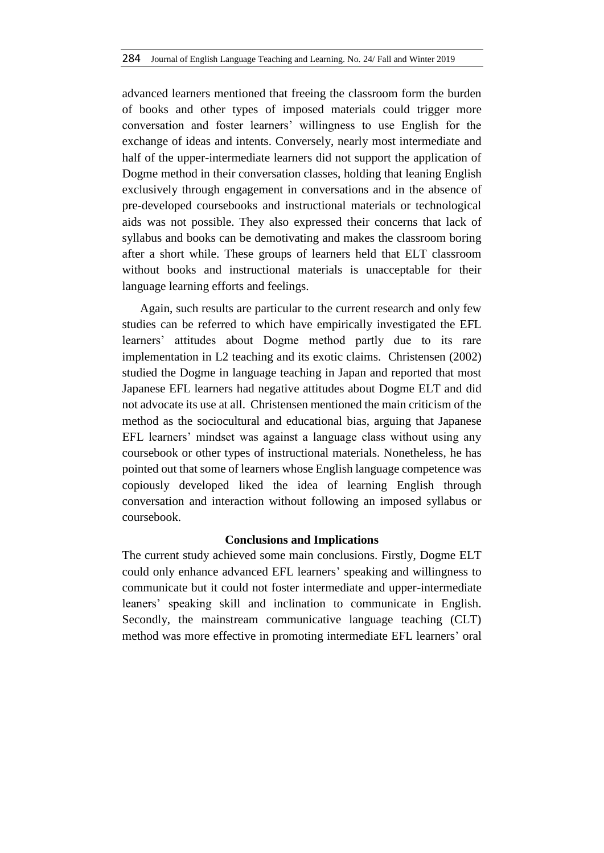advanced learners mentioned that freeing the classroom form the burden of books and other types of imposed materials could trigger more conversation and foster learners' willingness to use English for the exchange of ideas and intents. Conversely, nearly most intermediate and half of the upper-intermediate learners did not support the application of Dogme method in their conversation classes, holding that leaning English exclusively through engagement in conversations and in the absence of pre-developed coursebooks and instructional materials or technological aids was not possible. They also expressed their concerns that lack of syllabus and books can be demotivating and makes the classroom boring after a short while. These groups of learners held that ELT classroom without books and instructional materials is unacceptable for their language learning efforts and feelings.

Again, such results are particular to the current research and only few studies can be referred to which have empirically investigated the EFL learners' attitudes about Dogme method partly due to its rare implementation in L2 teaching and its exotic claims. Christensen (2002) studied the Dogme in language teaching in Japan and reported that most Japanese EFL learners had negative attitudes about Dogme ELT and did not advocate its use at all. Christensen mentioned the main criticism of the method as the sociocultural and educational bias, arguing that Japanese EFL learners' mindset was against a language class without using any coursebook or other types of instructional materials. Nonetheless, he has pointed out that some of learners whose English language competence was copiously developed liked the idea of learning English through conversation and interaction without following an imposed syllabus or coursebook.

# **Conclusions and Implications**

The current study achieved some main conclusions. Firstly, Dogme ELT could only enhance advanced EFL learners' speaking and willingness to communicate but it could not foster intermediate and upper-intermediate leaners' speaking skill and inclination to communicate in English. Secondly, the mainstream communicative language teaching (CLT) method was more effective in promoting intermediate EFL learners' oral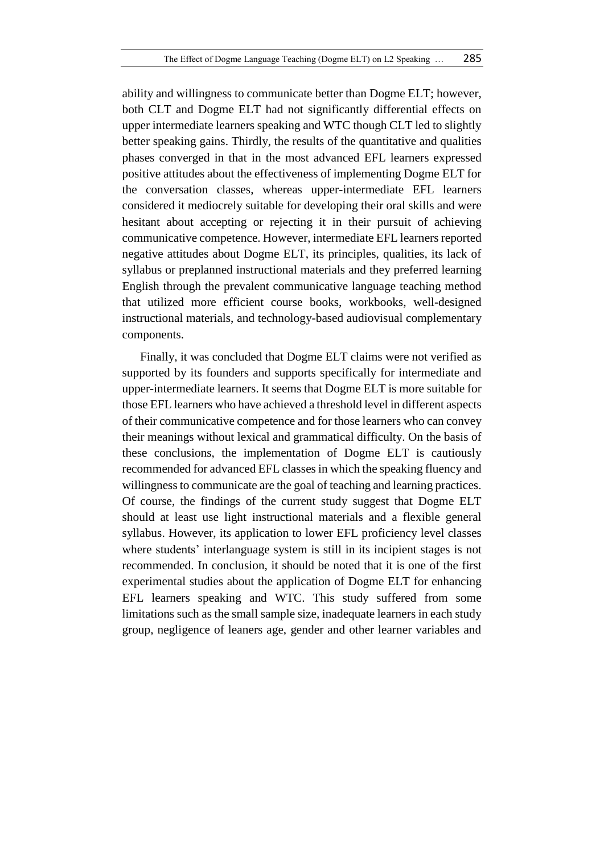ability and willingness to communicate better than Dogme ELT; however, both CLT and Dogme ELT had not significantly differential effects on upper intermediate learners speaking and WTC though CLT led to slightly better speaking gains. Thirdly, the results of the quantitative and qualities phases converged in that in the most advanced EFL learners expressed positive attitudes about the effectiveness of implementing Dogme ELT for the conversation classes, whereas upper-intermediate EFL learners considered it mediocrely suitable for developing their oral skills and were hesitant about accepting or rejecting it in their pursuit of achieving communicative competence. However, intermediate EFL learners reported negative attitudes about Dogme ELT, its principles, qualities, its lack of syllabus or preplanned instructional materials and they preferred learning English through the prevalent communicative language teaching method that utilized more efficient course books, workbooks, well-designed instructional materials, and technology-based audiovisual complementary components.

Finally, it was concluded that Dogme ELT claims were not verified as supported by its founders and supports specifically for intermediate and upper-intermediate learners. It seems that Dogme ELT is more suitable for those EFL learners who have achieved a threshold level in different aspects of their communicative competence and for those learners who can convey their meanings without lexical and grammatical difficulty. On the basis of these conclusions, the implementation of Dogme ELT is cautiously recommended for advanced EFL classes in which the speaking fluency and willingness to communicate are the goal of teaching and learning practices. Of course, the findings of the current study suggest that Dogme ELT should at least use light instructional materials and a flexible general syllabus. However, its application to lower EFL proficiency level classes where students' interlanguage system is still in its incipient stages is not recommended. In conclusion, it should be noted that it is one of the first experimental studies about the application of Dogme ELT for enhancing EFL learners speaking and WTC. This study suffered from some limitations such as the small sample size, inadequate learners in each study group, negligence of leaners age, gender and other learner variables and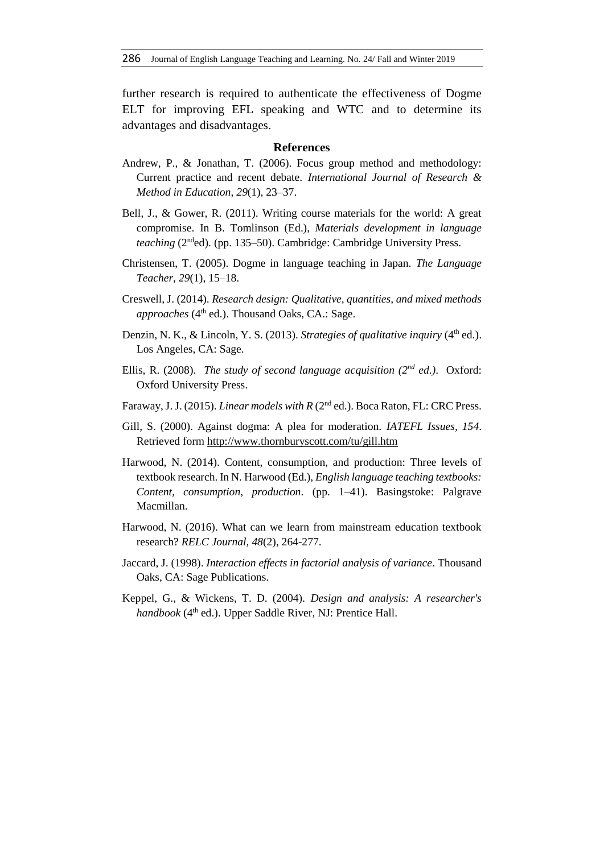further research is required to authenticate the effectiveness of Dogme ELT for improving EFL speaking and WTC and to determine its advantages and disadvantages.

#### **References**

- Andrew, P., & Jonathan, T. (2006). Focus group method and methodology: Current practice and recent debate. *International Journal of Research & Method in Education*, *29*(1), 23–37.
- Bell, J., & Gower, R. (2011). Writing course materials for the world: A great compromise. In B. Tomlinson (Ed.), *Materials development in language teaching* (2<sup>nd</sup>ed). (pp. 135–50). Cambridge: Cambridge University Press.
- Christensen, T. (2005). Dogme in language teaching in Japan. *The Language Teacher, 29*(1), 15–18.
- Creswell, J. (2014). *Research design: Qualitative, quantities, and mixed methods approaches* (4<sup>th</sup> ed.). Thousand Oaks, CA.: Sage.
- Denzin, N. K., & Lincoln, Y. S. (2013). *Strategies of qualitative inquiry* (4<sup>th</sup> ed.). Los Angeles, CA: Sage.
- Ellis, R. (2008). *The study of second language acquisition (2nd ed.)*. Oxford: Oxford University Press.
- Faraway, J. J. (2015). *Linear models with R* (2<sup>nd</sup> ed.). Boca Raton, FL: CRC Press.
- Gill, S. (2000). Against dogma: A plea for moderation. *IATEFL Issues, 154*. Retrieved form [http://www.thornburyscott.com/tu/gill.htm](https://web.archive.org/web/20090412035054/http:/www.thornburyscott.com/tu/gill.htm)
- Harwood, N. (2014). Content, consumption, and production: Three levels of textbook research. In N. Harwood (Ed.), *English language teaching textbooks: Content, consumption, production*. (pp. 1–41). Basingstoke: Palgrave Macmillan.
- Harwood, N. (2016). What can we learn from mainstream education textbook research? *RELC Journal, 48*(2), 264-277.
- Jaccard, J. (1998). *Interaction effects in factorial analysis of variance*. Thousand Oaks, CA: Sage Publications.
- Keppel, G., & Wickens, T. D. (2004). *Design and analysis: A researcher's handbook* (4<sup>th</sup> ed.). Upper Saddle River, NJ: Prentice Hall.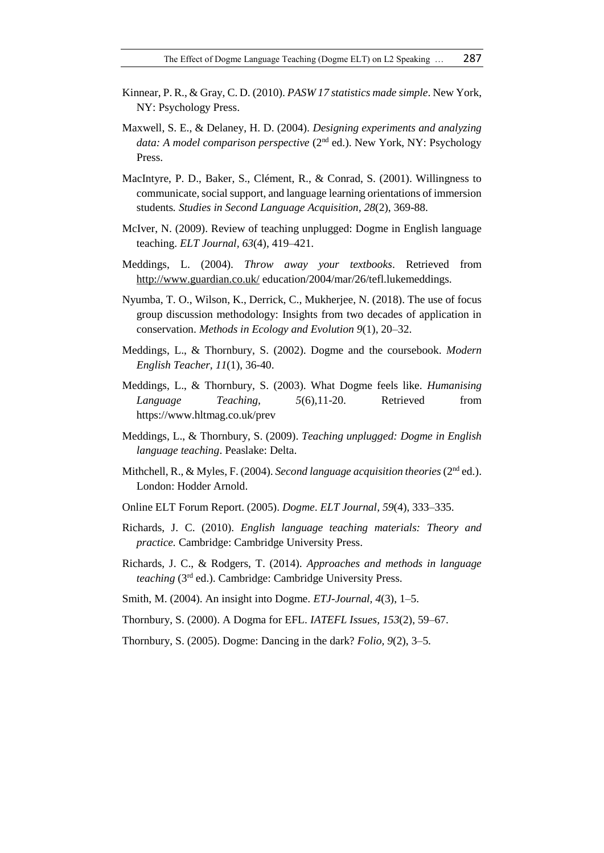- Kinnear, P. R., & Gray, C. D. (2010). *PASW 17 statistics made simple*. New York, NY: Psychology Press.
- Maxwell, S. E., & Delaney, H. D. (2004). *Designing experiments and analyzing*  data: A model comparison perspective (2<sup>nd</sup> ed.). New York, NY: Psychology Press.
- MacIntyre, P. D., Baker, S., Clément, R., & Conrad, S. (2001). Willingness to communicate, social support, and language learning orientations of immersion students*. Studies in Second Language Acquisition, 28*(2), 369-88.
- McIver, N. (2009). Review of teaching unplugged: Dogme in English language teaching. *ELT Journal, 63*(4), 419–421.
- Meddings, L. (2004). *Throw away your textbooks*. Retrieved from <http://www.guardian.co.uk/> education/2004/mar/26/tefl.lukemeddings.
- Nyumba, T. O., Wilson, K., Derrick, C., Mukherjee, N. (2018). The use of focus group discussion methodology: Insights from two decades of application in conservation. *Methods in Ecology and Evolution 9*(1), 20–32.
- Meddings, L., & Thornbury, S. (2002). Dogme and the coursebook. *Modern English Teacher, 11*(1), 36-40.
- Meddings, L., & Thornbury, S. (2003). What Dogme feels like. *Humanising Language Teaching, 5*(6),11-20. Retrieved from https://www.hltmag.co.uk/prev
- Meddings, L., & Thornbury, S. (2009). *Teaching unplugged: Dogme in English language teaching*. Peaslake: Delta.
- Mithchell, R., & Myles, F. (2004). *Second language acquisition theories* (2nd ed.). London: Hodder Arnold.
- Online ELT Forum Report. (2005). *Dogme*. *ELT Journal, 59*(4), 333–335.
- Richards, J. C. (2010). *English language teaching materials: Theory and practice.* Cambridge: Cambridge University Press.
- Richards, J. C., & Rodgers, T. (2014). *Approaches and methods in language teaching* (3rd ed.). Cambridge: Cambridge University Press.
- Smith, M. (2004). An insight into Dogme. *ETJ-Journal, 4*(3), 1–5.
- Thornbury, S. (2000). A Dogma for EFL. *IATEFL Issues, 153*(2), 59–67.
- Thornbury, S. (2005). Dogme: Dancing in the dark? *Folio, 9*(2), 3–5.